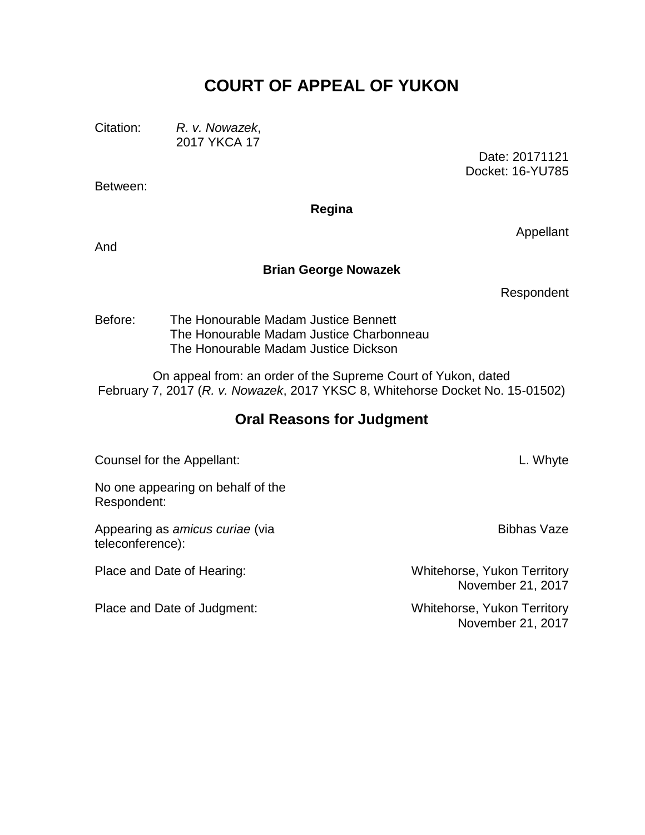# **COURT OF APPEAL OF YUKON**

Citation: *R. v. Nowazek*, 2017 YKCA 17

> Date: 20171121 Docket: 16-YU785

**Regina**

And

Between:

#### **Brian George Nowazek**

Respondent

Appellant

Before: The Honourable Madam Justice Bennett The Honourable Madam Justice Charbonneau The Honourable Madam Justice Dickson

On appeal from: an order of the Supreme Court of Yukon, dated February 7, 2017 (*R. v. Nowazek*, 2017 YKSC 8, Whitehorse Docket No. 15-01502)

# **Oral Reasons for Judgment**

Counsel for the Appellant: L. Whyte

No one appearing on behalf of the Respondent:

Appearing as *amicus curiae* (via teleconference):

Place and Date of Judgment: Whitehorse, Yukon Territory

Bibhas Vaze

Place and Date of Hearing: Whitehorse, Yukon Territory November 21, 2017

November 21, 2017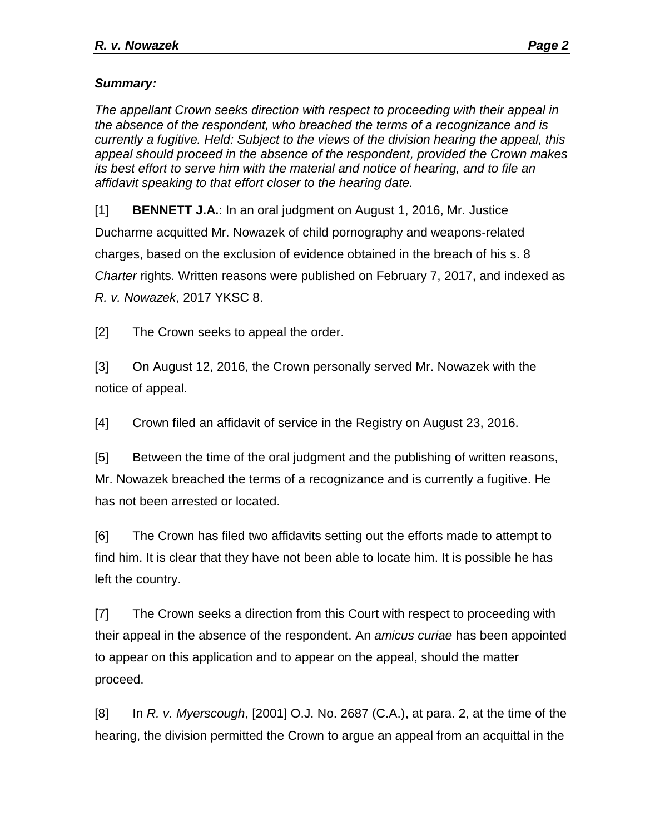## *Summary:*

*The appellant Crown seeks direction with respect to proceeding with their appeal in the absence of the respondent, who breached the terms of a recognizance and is currently a fugitive. Held: Subject to the views of the division hearing the appeal, this appeal should proceed in the absence of the respondent, provided the Crown makes its best effort to serve him with the material and notice of hearing, and to file an affidavit speaking to that effort closer to the hearing date.* 

[1] **BENNETT J.A.**: In an oral judgment on August 1, 2016, Mr. Justice Ducharme acquitted Mr. Nowazek of child pornography and weapons-related charges, based on the exclusion of evidence obtained in the breach of his s. 8 *Charter* rights. Written reasons were published on February 7, 2017, and indexed as *R. v. Nowazek*, 2017 YKSC 8.

[2] The Crown seeks to appeal the order.

[3] On August 12, 2016, the Crown personally served Mr. Nowazek with the notice of appeal.

[4] Crown filed an affidavit of service in the Registry on August 23, 2016.

[5] Between the time of the oral judgment and the publishing of written reasons, Mr. Nowazek breached the terms of a recognizance and is currently a fugitive. He has not been arrested or located.

[6] The Crown has filed two affidavits setting out the efforts made to attempt to find him. It is clear that they have not been able to locate him. It is possible he has left the country.

[7] The Crown seeks a direction from this Court with respect to proceeding with their appeal in the absence of the respondent. An *amicus curiae* has been appointed to appear on this application and to appear on the appeal, should the matter proceed.

[8] In *R. v. Myerscough*, [2001] O.J. No. 2687 (C.A.), at para. 2, at the time of the hearing, the division permitted the Crown to argue an appeal from an acquittal in the